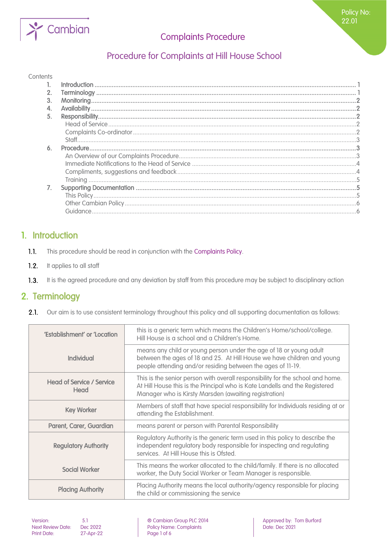

# Procedure for Complaints at Hill House School

#### **Contents**

| 2. |  |
|----|--|
| 3. |  |
|    |  |
| 5. |  |
|    |  |
|    |  |
|    |  |
| 6. |  |
|    |  |
|    |  |
|    |  |
|    |  |
|    |  |
|    |  |
|    |  |
|    |  |
|    |  |

### <span id="page-0-0"></span>1. Introduction

- $1.1.$ This procedure should be read in conjunction with the Complaints Policy.
- $1.2.$ It applies to all staff
- <span id="page-0-1"></span> $1.3.$ It is the agreed procedure and any deviation by staff from this procedure may be subject to disciplinary action

### 2. Terminology

 $2.1.$ Our aim is to use consistent terminology throughout this policy and all supporting documentation as follows:

| 'Establishment' or 'Location             | this is a generic term which means the Children's Home/school/college.<br>Hill House is a school and a Children's Home.                                                                                                |
|------------------------------------------|------------------------------------------------------------------------------------------------------------------------------------------------------------------------------------------------------------------------|
| Individual                               | means any child or young person under the age of 18 or young adult<br>between the ages of 18 and 25. At Hill House we have children and young<br>people attending and/or residing between the ages of 11-19.           |
| <b>Head of Service / Service</b><br>Head | This is the senior person with overall responsibility for the school and home.<br>At Hill House this is the Principal who is Kate Landells and the Registered<br>Manager who is Kirsty Marsden (awaiting registration) |
| <b>Key Worker</b>                        | Members of staff that have special responsibility for Individuals residing at or<br>attending the Establishment.                                                                                                       |
| Parent, Carer, Guardian                  | means parent or person with Parental Responsibility                                                                                                                                                                    |
| <b>Regulatory Authority</b>              | Regulatory Authority is the generic term used in this policy to describe the<br>independent regulatory body responsible for inspecting and regulating<br>services. At Hill House this is Ofsted.                       |
| <b>Social Worker</b>                     | This means the worker allocated to the child/family. If there is no allocated<br>worker, the Duty Social Worker or Team Manager is responsible.                                                                        |
| <b>Placing Authority</b>                 | Placing Authority means the local authority/agency responsible for placing<br>the child or commissioning the service                                                                                                   |

27-Apr-22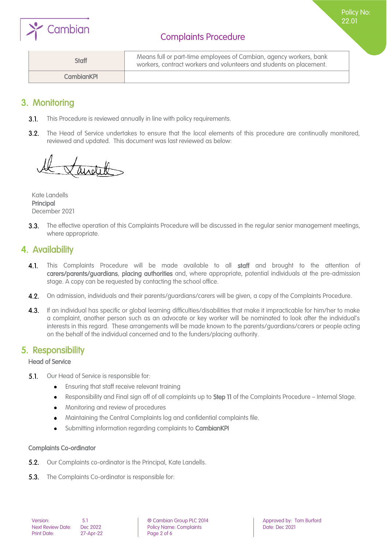

Policy No: 22.01

| <b>Staff</b>      | Means full or part-time employees of Cambian, agency workers, bank<br>workers, contract workers and volunteers and students on placement. |
|-------------------|-------------------------------------------------------------------------------------------------------------------------------------------|
| <b>CambianKPL</b> |                                                                                                                                           |

## <span id="page-1-0"></span>3. Monitoring

- $3.1.$ This Procedure is reviewed annually in line with policy requirements.
- $3.2.$ The Head of Service undertakes to ensure that the local elements of this procedure are continually monitored, reviewed and updated. This document was last reviewed as below:

andel

Kate Landells Principal December 2021

The effective operation of this Complaints Procedure will be discussed in the regular senior management meetings,  $3.3.$ where appropriate.

### <span id="page-1-1"></span>4. Availability

- $4.1.$ This Complaints Procedure will be made available to all staff and brought to the attention of carers/parents/guardians, placing authorities and, where appropriate, potential individuals at the pre-admission stage. A copy can be requested by contacting the school office.
- 4.2. On admission, individuals and their parents/guardians/carers will be given, a copy of the Complaints Procedure.
- **4.3.** If an individual has specific or global learning difficulties/disabilities that make it impracticable for him/her to make a complaint, another person such as an advocate or key worker will be nominated to look after the individual's interests in this regard. These arrangements will be made known to the parents/guardians/carers or people acting on the behalf of the individual concerned and to the funders/placing authority.

### <span id="page-1-2"></span>5. Responsibility

#### <span id="page-1-3"></span>Head of Service

- $5.1.$ Our Head of Service is responsible for:
	- Ensuring that staff receive relevant training  $\bullet$
	- Responsibility and Final sign off of all complaints up to Step 11 of the Complaints Procedure Internal Stage.
	- Monitoring and review of procedures  $\bullet$
	- Maintaining the Central Complaints log and confidential complaints file.  $\bullet$
	- Submitting information regarding complaints to CambianKPI  $\bullet$

#### <span id="page-1-4"></span>Complaints Co-ordinator

- **5.2.** Our Complaints co-ordinator is the Principal, Kate Landells.
- **5.3.** The Complaints Co-ordinator is responsible for: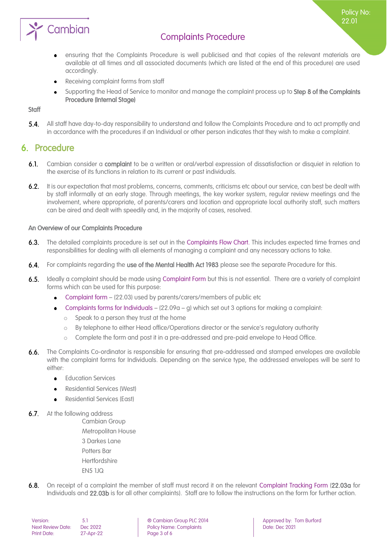

ensuring that the Complaints Procedure is well publicised and that copies of the relevant materials are  $\bullet$ available at all times and all associated documents (which are listed at the end of this procedure) are used accordingly.

Policy No: 22.01

- Receiving complaint forms from staff
- Supporting the Head of Service to monitor and manage the complaint process up to Step 8 of the Complaints  $\bullet$ Procedure (Internal Stage)

#### <span id="page-2-0"></span>**Staff**

 $5.4.$ All staff have day-to-day responsibility to understand and follow the Complaints Procedure and to act promptly and in accordance with the procedures if an Individual or other person indicates that they wish to make a complaint.

### <span id="page-2-1"></span>6. Procedure

- $6.1.$ Cambian consider a complaint to be a written or oral/verbal expression of dissatisfaction or disquiet in relation to the exercise of its functions in relation to its current or past individuals.
- $6.2.$ It is our expectation that most problems, concerns, comments, criticisms etc about our service, can best be dealt with by staff informally at an early stage. Through meetings, the key worker system, regular review meetings and the involvement, where appropriate, of parents/carers and location and appropriate local authority staff, such matters can be aired and dealt with speedily and, in the majority of cases, resolved.

#### <span id="page-2-2"></span>An Overview of our Complaints Procedure

- $6.3.$ The detailed complaints procedure is set out in the Complaints Flow Chart. This includes expected time frames and responsibilities for dealing with all elements of managing a complaint and any necessary actions to take.
- $6.4.$ For complaints regarding the use of the Mental Health Act 1983 please see the separate Procedure for this.
- $6.5.$ Ideally a complaint should be made using Complaint Form but this is not essential. There are a variety of complaint forms which can be used for this purpose:
	- Complaint form (22.03) used by parents/carers/members of public etc  $\bullet$
	- Complaints forms for Individuals (22.09a g) which set out 3 options for making a complaint:
		- Speak to a person they trust at the home
		- o By telephone to either Head office/Operations director or the service's regulatory authority
		- o Complete the form and post it in a pre-addressed and pre-paid envelope to Head Office.
- $6.6.$ The Complaints Co-ordinator is responsible for ensuring that pre-addressed and stamped envelopes are available with the complaint forms for Individuals. Depending on the service type, the addressed envelopes will be sent to either:
	- Education Services
	- Residential Services (West)
	- Residential Services (East)
- **6.7.** At the following address
	- Cambian Group Metropolitan House 3 Darkes Lane Potters Bar **Hertfordshire** EN5 1JQ
- $6.8.$ On receipt of a complaint the member of staff must record it on the relevant Complaint Tracking Form (22.03a for Individuals and 22.03b is for all other complaints). Staff are to follow the instructions on the form for further action.

| Version:                 | 5.1      |
|--------------------------|----------|
| <b>Next Review Date:</b> | Dec.     |
| <b>Print Date:</b>       | $27 - A$ |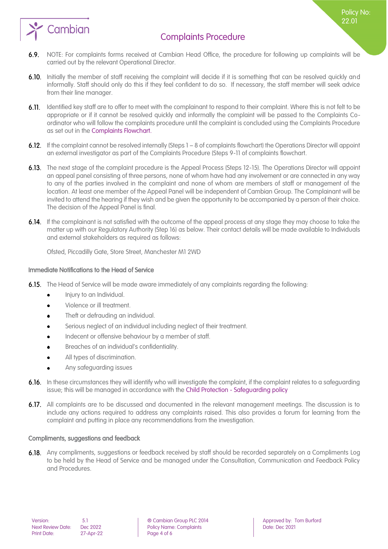

Policy No: 22.01

- 6.9. NOTE: For complaints forms received at Cambian Head Office, the procedure for following up complaints will be carried out by the relevant Operational Director.
- 6.10. Initially the member of staff receiving the complaint will decide if it is something that can be resolved quickly and informally. Staff should only do this if they feel confident to do so. If necessary, the staff member will seek advice from their line manager.
- 6.11. Identified key staff are to offer to meet with the complainant to respond to their complaint. Where this is not felt to be appropriate or if it cannot be resolved quickly and informally the complaint will be passed to the Complaints Coordinator who will follow the complaints procedure until the complaint is concluded using the Complaints Procedure as set out in the Complaints Flowchart.
- 6.12. If the complaint cannot be resolved internally (Steps 1 8 of complaints flowchart) the Operations Director will appoint an external investigator as part of the Complaints Procedure (Steps 9-11 of complaints flowchart.
- 6.13. The next stage of the complaint procedure is the Appeal Process (Steps 12-15). The Operations Director will appoint an appeal panel consisting of three persons, none of whom have had any involvement or are connected in any way to any of the parties involved in the complaint and none of whom are members of staff or management of the location. At least one member of the Appeal Panel will be independent of Cambian Group. The Complainant will be invited to attend the hearing if they wish and be given the opportunity to be accompanied by a person of their choice. The decision of the Appeal Panel is final.
- 6.14. If the complainant is not satisfied with the outcome of the appeal process at any stage they may choose to take the matter up with our Regulatory Authority (Step 16) as below. Their contact details will be made available to Individuals and external stakeholders as required as follows:

Ofsted, Piccadilly Gate, Store Street, Manchester M1 2WD

#### <span id="page-3-0"></span>Immediate Notifications to the Head of Service

- 6.15. The Head of Service will be made aware immediately of any complaints regarding the following:
	- Injury to an Individual.  $\bullet$
	- Violence or ill treatment.  $\bullet$
	- Theft or defrauding an individual.  $\bullet$
	- Serious neglect of an individual including neglect of their treatment.  $\bullet$
	- Indecent or offensive behaviour by a member of staff.
	- Breaches of an individual's confidentiality.
	- All types of discrimination.
	- Any safeguarding issues
- 6.16. In these circumstances they will identify who will investigate the complaint, if the complaint relates to a safeguarding issue; this will be managed in accordance with the Child Protection - Safeguarding policy
- 6.17. All complaints are to be discussed and documented in the relevant management meetings. The discussion is to include any actions required to address any complaints raised. This also provides a forum for learning from the complaint and putting in place any recommendations from the investigation.

#### <span id="page-3-1"></span>Compliments, suggestions and feedback

6.18. Any compliments, suggestions or feedback received by staff should be recorded separately on a Compliments Log to be held by the Head of Service and be managed under the Consultation, Communication and Feedback Policy and Procedures.

Next Review Date: Dec 2022 Policy Name: Complaints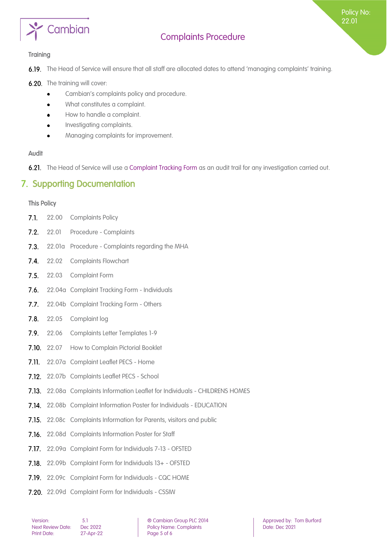

Policy No: 22.01

#### <span id="page-4-0"></span>**Training**

6.19. The Head of Service will ensure that all staff are allocated dates to attend 'managing complaints' training.

- 6.20. The training will cover:
	- Cambian's complaints policy and procedure.  $\bullet$
	- What constitutes a complaint.
	- How to handle a complaint.  $\bullet$
	- Investigating complaints.  $\bullet$
	- Managing complaints for improvement.  $\bullet$

#### Audit

<span id="page-4-1"></span>6.21. The Head of Service will use a Complaint Tracking Form as an audit trail for any investigation carried out.

### 7. Supporting Documentation

#### <span id="page-4-2"></span>This Policy

- $7.1.$ 22.00 Complaints Policy
- $7.2.$ 22.01 Procedure - Complaints
- $7.3.$ 22.01a Procedure - Complaints regarding the MHA
- $7.4.$ 22.02 Complaints Flowchart
- $7.5.$ 22.03 Complaint Form
- $7.6.$ 22.04a Complaint Tracking Form - Individuals
- $7.7.$ 22.04b Complaint Tracking Form - Others
- $7.8.$ 22.05 Complaint log
- $7.9.$ 22.06 Complaints Letter Templates 1-9
- 7.10. 22.07 How to Complain Pictorial Booklet
- 7.11. 22.07a Complaint Leaflet PECS Home
- 7.12. 22.07b Complaints Leaflet PECS School
- 22.08a Complaints Information Leaflet for Individuals CHILDRENS HOMES
- 7.14. 22.08b Complaint Information Poster for Individuals EDUCATION
- 7.15. 22.08c Complaints Information for Parents, visitors and public
- 7.16. 22.08d Complaints Information Poster for Staff
- 7.17. 22.09a Complaint Form for Individuals 7-13 OFSTED
- 7.18. 22.09b Complaint Form for Individuals 13+ OFSTED
- 7.19. 22.09c Complaint Form for Individuals CQC HOME
- 7.20. 22.09d Complaint Form for Individuals CSSIW